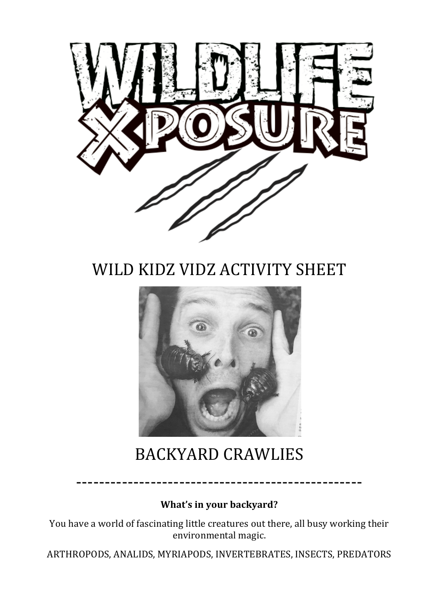

## WILD KIDZ VIDZ ACTIVITY SHEET



## BACKYARD CRAWLIES

**What's in your backyard?** 

--------------------------------------------------

You have a world of fascinating little creatures out there, all busy working their environmental magic.

ARTHROPODS, ANALIDS, MYRIAPODS, INVERTEBRATES, INSECTS, PREDATORS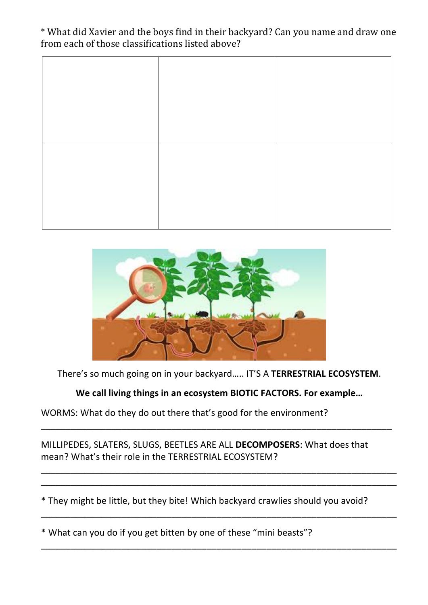## \* What did Xavier and the boys find in their backyard? Can you name and draw one from each of those classifications listed above?



There's so much going on in your backyard..... IT'S A TERRESTRIAL ECOSYSTEM.

We call living things in an ecosystem BIOTIC FACTORS. For example...

\_\_\_\_\_\_\_\_\_\_\_\_\_\_\_\_\_\_\_\_\_\_\_\_\_\_\_\_\_\_\_\_\_\_\_\_\_\_\_\_\_\_\_\_\_\_\_\_\_\_\_\_\_\_\_\_\_\_\_\_\_\_\_\_\_\_\_\_\_\_

\_\_\_\_\_\_\_\_\_\_\_\_\_\_\_\_\_\_\_\_\_\_\_\_\_\_\_\_\_\_\_\_\_\_\_\_\_\_\_\_\_\_\_\_\_\_\_\_\_\_\_\_\_\_\_\_\_\_\_\_\_\_\_\_\_\_\_\_\_\_\_ \_\_\_\_\_\_\_\_\_\_\_\_\_\_\_\_\_\_\_\_\_\_\_\_\_\_\_\_\_\_\_\_\_\_\_\_\_\_\_\_\_\_\_\_\_\_\_\_\_\_\_\_\_\_\_\_\_\_\_\_\_\_\_\_\_\_\_\_\_\_\_

\_\_\_\_\_\_\_\_\_\_\_\_\_\_\_\_\_\_\_\_\_\_\_\_\_\_\_\_\_\_\_\_\_\_\_\_\_\_\_\_\_\_\_\_\_\_\_\_\_\_\_\_\_\_\_\_\_\_\_\_\_\_\_\_\_\_\_\_\_\_\_

\_\_\_\_\_\_\_\_\_\_\_\_\_\_\_\_\_\_\_\_\_\_\_\_\_\_\_\_\_\_\_\_\_\_\_\_\_\_\_\_\_\_\_\_\_\_\_\_\_\_\_\_\_\_\_\_\_\_\_\_\_\_\_\_\_\_\_\_\_\_\_

WORMS: What do they do out there that's good for the environment?

MILLIPEDES, SLATERS, SLUGS, BEETLES ARE ALL DECOMPOSERS: What does that mean? What's their role in the TERRESTRIAL ECOSYSTEM?

\* They might be little, but they bite! Which backyard crawlies should you avoid?

\* What can you do if you get bitten by one of these "mini beasts"?